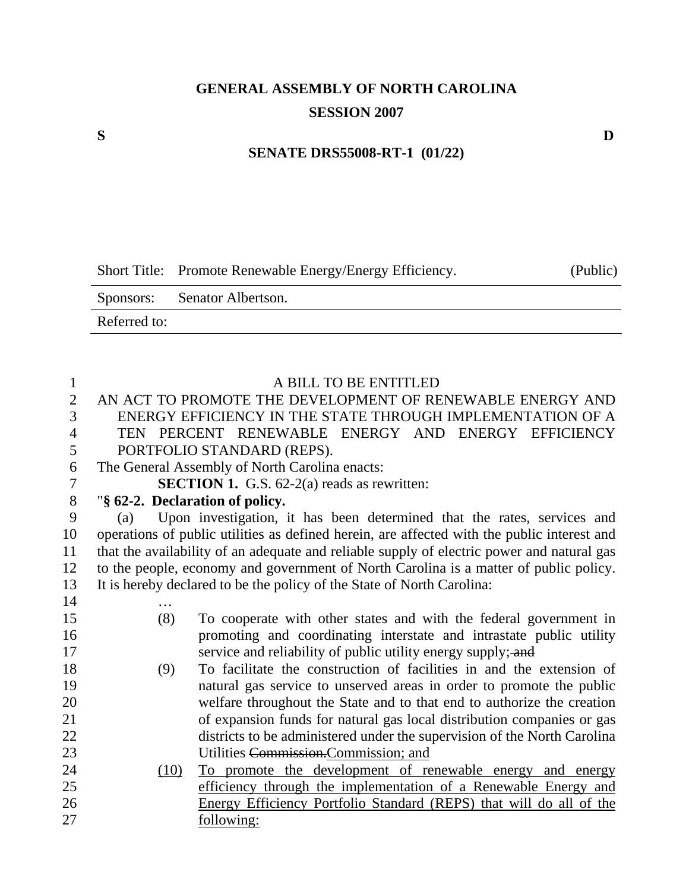## **GENERAL ASSEMBLY OF NORTH CAROLINA SESSION 2007**

Short Title: Promote Renewable Energy/Energy Efficiency. (Public)

|              | Sponsors: Senator Albertson. |
|--------------|------------------------------|
| Referred to: |                              |

| 1              |                                                            | A BILL TO BE ENTITLED                                                                       |  |  |  |  |  |
|----------------|------------------------------------------------------------|---------------------------------------------------------------------------------------------|--|--|--|--|--|
| $\overline{2}$ | AN ACT TO PROMOTE THE DEVELOPMENT OF RENEWABLE ENERGY AND  |                                                                                             |  |  |  |  |  |
| 3              | ENERGY EFFICIENCY IN THE STATE THROUGH IMPLEMENTATION OF A |                                                                                             |  |  |  |  |  |
| 4              |                                                            | TEN PERCENT RENEWABLE ENERGY AND ENERGY EFFICIENCY                                          |  |  |  |  |  |
| 5              |                                                            | PORTFOLIO STANDARD (REPS).                                                                  |  |  |  |  |  |
| 6              |                                                            | The General Assembly of North Carolina enacts:                                              |  |  |  |  |  |
| 7              |                                                            | <b>SECTION 1.</b> G.S. 62-2(a) reads as rewritten:                                          |  |  |  |  |  |
| 8              | "§ 62-2. Declaration of policy.                            |                                                                                             |  |  |  |  |  |
| 9              | (a)                                                        | Upon investigation, it has been determined that the rates, services and                     |  |  |  |  |  |
| 10             |                                                            | operations of public utilities as defined herein, are affected with the public interest and |  |  |  |  |  |
| 11             |                                                            | that the availability of an adequate and reliable supply of electric power and natural gas  |  |  |  |  |  |
| 12             |                                                            | to the people, economy and government of North Carolina is a matter of public policy.       |  |  |  |  |  |
| 13             |                                                            | It is hereby declared to be the policy of the State of North Carolina:                      |  |  |  |  |  |
| 14             |                                                            |                                                                                             |  |  |  |  |  |
| 15             | (8)                                                        | To cooperate with other states and with the federal government in                           |  |  |  |  |  |
| 16             |                                                            | promoting and coordinating interstate and intrastate public utility                         |  |  |  |  |  |
| 17             |                                                            | service and reliability of public utility energy supply; and                                |  |  |  |  |  |
| 18             | (9)                                                        | To facilitate the construction of facilities in and the extension of                        |  |  |  |  |  |
| 19             |                                                            | natural gas service to unserved areas in order to promote the public                        |  |  |  |  |  |
| 20             |                                                            | welfare throughout the State and to that end to authorize the creation                      |  |  |  |  |  |
| 21             |                                                            | of expansion funds for natural gas local distribution companies or gas                      |  |  |  |  |  |
| 22             |                                                            | districts to be administered under the supervision of the North Carolina                    |  |  |  |  |  |
| 23             |                                                            | Utilities Commission.Commission; and                                                        |  |  |  |  |  |
| 24             | (10)                                                       | To promote the development of renewable energy and energy                                   |  |  |  |  |  |
| 25             |                                                            | efficiency through the implementation of a Renewable Energy and                             |  |  |  |  |  |
| 26             |                                                            | Energy Efficiency Portfolio Standard (REPS) that will do all of the                         |  |  |  |  |  |
| 27             |                                                            | following:                                                                                  |  |  |  |  |  |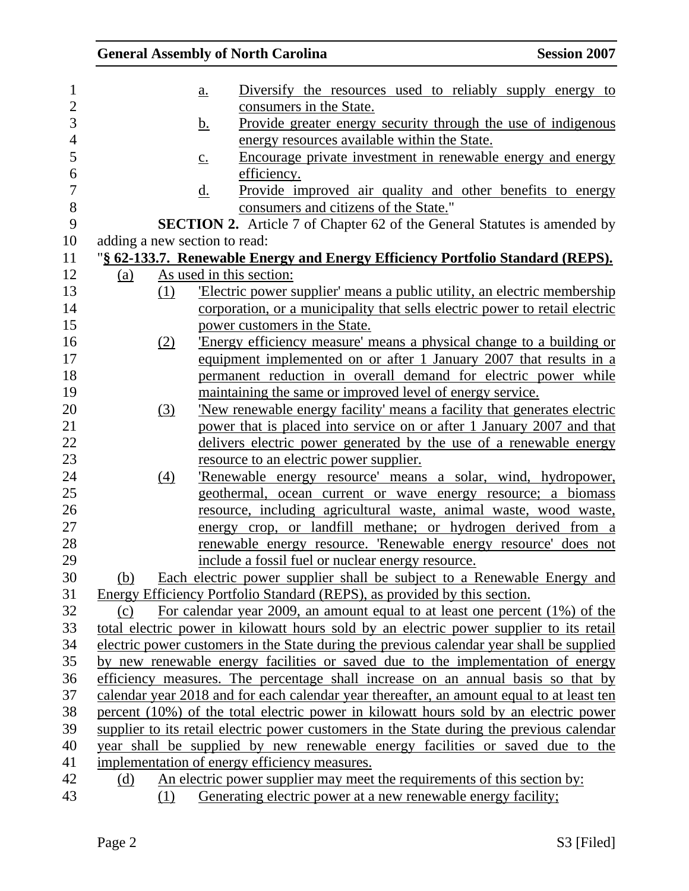|                               |     |                            | <b>General Assembly of North Carolina</b>                                                               | <b>Session 2007</b> |
|-------------------------------|-----|----------------------------|---------------------------------------------------------------------------------------------------------|---------------------|
|                               |     | $\underline{\mathbf{a}}$ . | Diversify the resources used to reliably supply energy to                                               |                     |
|                               |     |                            | consumers in the State.                                                                                 |                     |
|                               |     | <u>b.</u>                  | Provide greater energy security through the use of indigenous                                           |                     |
|                               |     |                            | energy resources available within the State.                                                            |                     |
|                               |     | $\underline{c}$ .          | Encourage private investment in renewable energy and energy                                             |                     |
|                               |     |                            | efficiency.                                                                                             |                     |
|                               |     | $\underline{\mathrm{d}}$ . | Provide improved air quality and other benefits to energy                                               |                     |
|                               |     |                            | consumers and citizens of the State."                                                                   |                     |
|                               |     |                            | <b>SECTION 2.</b> Article 7 of Chapter 62 of the General Statutes is amended by                         |                     |
| adding a new section to read: |     |                            |                                                                                                         |                     |
|                               |     |                            | "§ 62-133.7. Renewable Energy and Energy Efficiency Portfolio Standard (REPS).                          |                     |
| (a)                           |     |                            | As used in this section:                                                                                |                     |
|                               | (1) |                            | Electric power supplier' means a public utility, an electric membership                                 |                     |
|                               |     |                            | corporation, or a municipality that sells electric power to retail electric                             |                     |
|                               |     |                            | power customers in the State.                                                                           |                     |
|                               | (2) |                            | Energy efficiency measure' means a physical change to a building or                                     |                     |
|                               |     |                            | equipment implemented on or after 1 January 2007 that results in a                                      |                     |
|                               |     |                            | permanent reduction in overall demand for electric power while                                          |                     |
|                               |     |                            | maintaining the same or improved level of energy service.                                               |                     |
|                               | (3) |                            | <u>'New renewable energy facility' means a facility that generates electric</u>                         |                     |
|                               |     |                            | power that is placed into service on or after 1 January 2007 and that                                   |                     |
|                               |     |                            | delivers electric power generated by the use of a renewable energy                                      |                     |
|                               | (4) |                            | resource to an electric power supplier.<br>'Renewable energy resource' means a solar, wind, hydropower, |                     |
|                               |     |                            | geothermal, ocean current or wave energy resource; a biomass                                            |                     |
|                               |     |                            | resource, including agricultural waste, animal waste, wood waste,                                       |                     |
|                               |     |                            | energy crop, or landfill methane; or hydrogen derived from a                                            |                     |
|                               |     |                            | renewable energy resource. 'Renewable energy resource' does not                                         |                     |
|                               |     |                            | include a fossil fuel or nuclear energy resource.                                                       |                     |
| (b)                           |     |                            | Each electric power supplier shall be subject to a Renewable Energy and                                 |                     |
|                               |     |                            | Energy Efficiency Portfolio Standard (REPS), as provided by this section.                               |                     |
| (c)                           |     |                            | For calendar year 2009, an amount equal to at least one percent (1%) of the                             |                     |
|                               |     |                            | total electric power in kilowatt hours sold by an electric power supplier to its retail                 |                     |
|                               |     |                            | electric power customers in the State during the previous calendar year shall be supplied               |                     |
|                               |     |                            | by new renewable energy facilities or saved due to the implementation of energy                         |                     |
|                               |     |                            | efficiency measures. The percentage shall increase on an annual basis so that by                        |                     |
|                               |     |                            | calendar year 2018 and for each calendar year thereafter, an amount equal to at least ten               |                     |
|                               |     |                            | percent (10%) of the total electric power in kilowatt hours sold by an electric power                   |                     |
|                               |     |                            | supplier to its retail electric power customers in the State during the previous calendar               |                     |
|                               |     |                            | year shall be supplied by new renewable energy facilities or saved due to the                           |                     |
|                               |     |                            | implementation of energy efficiency measures.                                                           |                     |
| (d)                           |     |                            | An electric power supplier may meet the requirements of this section by:                                |                     |
|                               | (1) |                            | Generating electric power at a new renewable energy facility;                                           |                     |